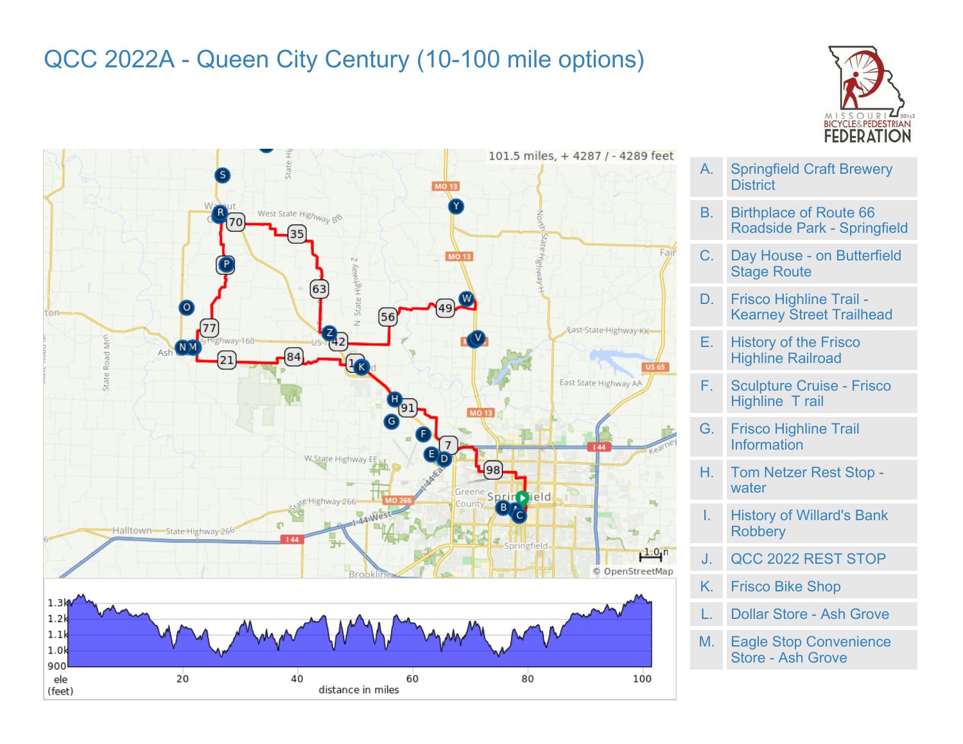## QCC 2022A - Queen City Century (10-100 mile options)





- A. Springfield Craft Brewery **District** B. Birthplace of Route 66 Roadside Park - Springfield
- C. Day House on Butterfield Stage Route
- D. Frisco Highline Trail Kearney Street Trailhead
- E. History of the Frisco Highline Railroad
- F. Sculpture Cruise Frisco Highline T rail
- G. Frisco Highline Trail Information
- H. Tom Netzer Rest Stop water
- I. History of Willard's Bank **Robbery**
- J. QCC 2022 REST STOP
- K. Frisco Bike Shop
- Dollar Store Ash Grove
- M. Eagle Stop Convenience Store - Ash Grove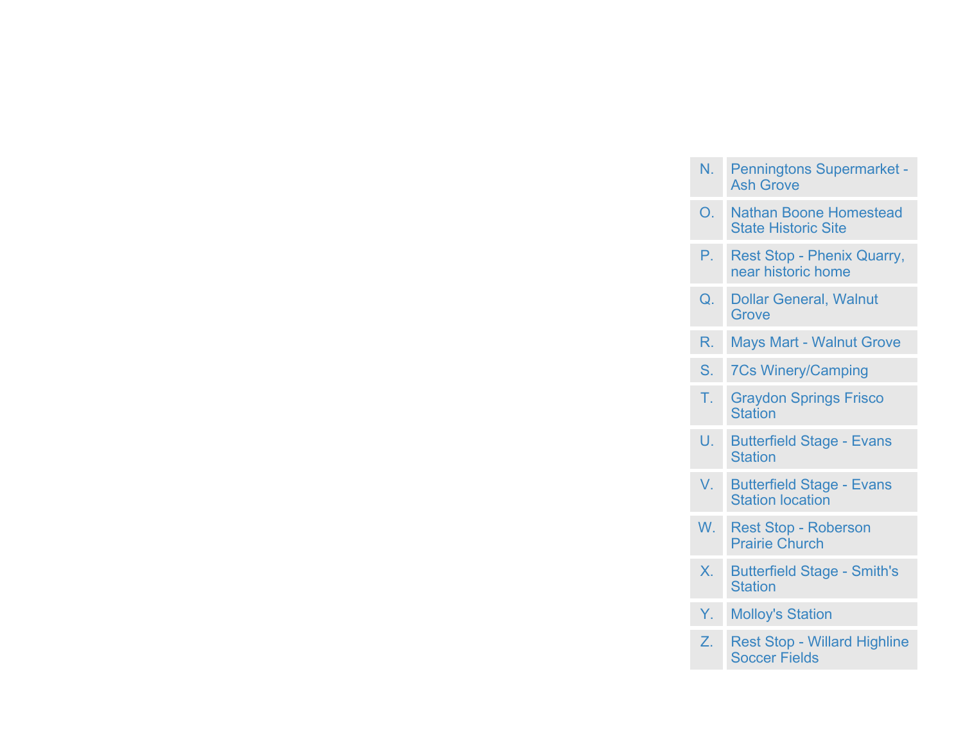| N. Penningtons Supermarket - |
|------------------------------|
| <b>Ash Grove</b>             |

- O. Nathan Boone Homestead State Historic Site
- P. Rest Stop Phenix Quarry, near historic home
- Q. Dollar General, Walnut **Grove**
- R. Mays Mart Walnut Grove
- S. 7Cs Winery/Camping
- T. Graydon Springs Frisco **Station**
- U. Butterfield Stage Evans **Station**
- V. Butterfield Stage Evans Station location
- W. Rest Stop Roberson Prairie Church
- X. Butterfield Stage Smith's **Station**
- Y. Molloy's Station
- Z. Rest Stop Willard Highline Soccer Fields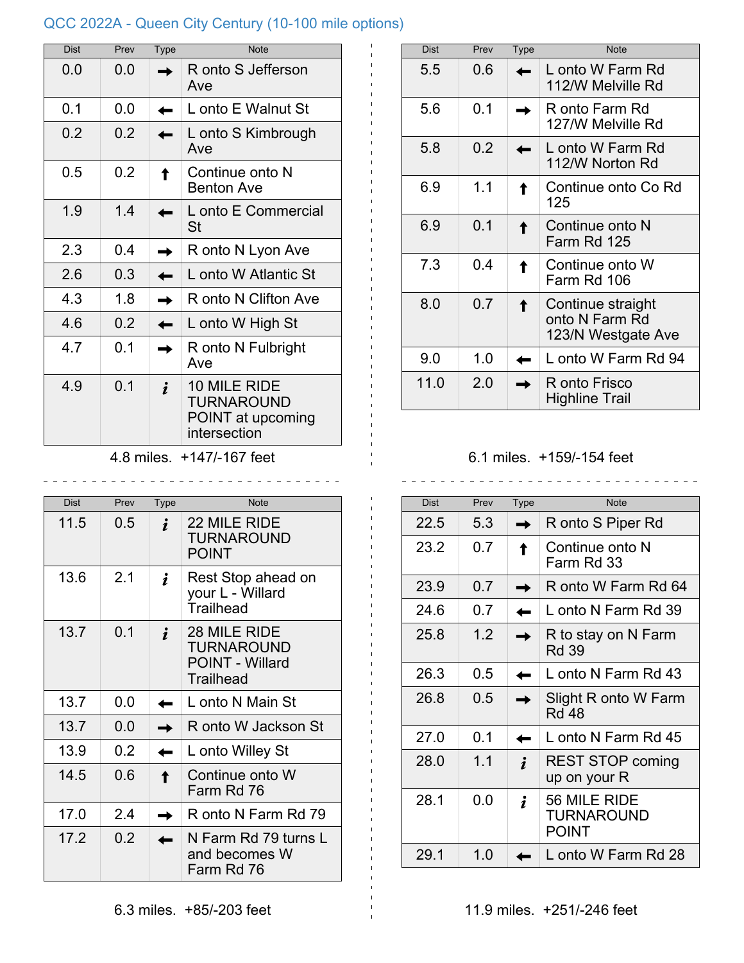## QCC 2022A - Queen City Century (10-100 mile options)

| Dist | Prev | <b>Type</b> | <b>Note</b>                                                     |
|------|------|-------------|-----------------------------------------------------------------|
| 0.0  | 0.0  |             | R onto S Jefferson<br>Ave                                       |
| 0.1  | ი ი  |             | L onto E Walnut St                                              |
| 0.2  | 0.2  |             | L onto S Kimbrough<br>Ave                                       |
| 0.5  | 0.2  |             | Continue onto N<br><b>Benton Ave</b>                            |
| 1.9  | 14   |             | L onto E Commercial<br>St                                       |
| 2.3  | 0.4  |             | R onto N Lyon Ave                                               |
| 2.6  | 0.3  |             | L onto W Atlantic St                                            |
| 4.3  | 1.8  |             | R onto N Clifton Ave                                            |
| 4.6  | 0.2  |             | L onto W High St                                                |
| 4.7  | 0.1  |             | R onto N Fulbright<br>Ave                                       |
| 4.9  | 0.1  |             | 10 MILE RIDE<br>TURNAROUND<br>POINT at upcoming<br>intersection |

4.8 miles. +147/-167 feet

\_\_\_\_\_\_\_\_\_\_\_\_\_\_\_\_\_\_\_\_\_\_\_\_\_\_\_\_\_\_\_

| <b>Dist</b> | Prev | Type | <b>Note</b>                                                              |
|-------------|------|------|--------------------------------------------------------------------------|
| 11.5        | 0.5  |      | 22 MILE RIDE<br><b>TURNAROUND</b><br><b>POINT</b>                        |
| 13.6        | 2.1  |      | Rest Stop ahead on<br>your L - Willard<br>Trailhead                      |
| 13.7        | 0.1  |      | 28 MILE RIDE<br><b>TURNAROUND</b><br><b>POINT - Willard</b><br>Trailhead |
| 13.7        | 0.0  |      | L onto N Main St                                                         |
| 13.7        | 0.0  |      | R onto W Jackson St                                                      |
| 13.9        | 0.2  |      | L onto Willey St                                                         |
| 14.5        | 0.6  |      | Continue onto W<br>Farm Rd 76                                            |
| 17.0        | 2.4  |      | R onto N Farm Rd 79                                                      |
| 17.2        | 0.2  |      | N Farm Rd 79 turns L<br>and becomes W<br>Farm Rd 76                      |

| <b>Dist</b> | Prev | Type | <b>Note</b>                                               |
|-------------|------|------|-----------------------------------------------------------|
| 5.5         | 0.6  |      | L onto W Farm Rd<br>112/W Melville Rd                     |
| 5.6         | 0.1  |      | R onto Farm Rd<br>127/W Melville Rd                       |
| 5.8         | 0.2  |      | L onto W Farm Rd<br>112/W Norton Rd                       |
| 6.9         | 1.1  |      | Continue onto Co Rd<br>125                                |
| 6.9         | 0.1  |      | Continue onto N<br>Farm Rd 125                            |
| 7.3         | 0.4  |      | Continue onto W<br>Farm Rd 106                            |
| 8.0         | 0.7  |      | Continue straight<br>onto N Farm Rd<br>123/N Westgate Ave |
| 9.0         | 1.0  |      | L onto W Farm Rd 94                                       |
| 11.0        | 2.0  |      | R onto Frisco<br><b>Highline Trail</b>                    |

## 6.1 miles. +159/-154 feet

| <b>Dist</b> | Prev | Type | <b>Note</b>                                       |
|-------------|------|------|---------------------------------------------------|
| 22.5        | 5.3  |      | R onto S Piper Rd                                 |
| 23.2        | 0.7  |      | Continue onto N<br>Farm Rd 33                     |
| 23.9        | 0.7  |      | R onto W Farm Rd 64                               |
| 24 6        | 0.7  |      | L onto N Farm Rd 39                               |
| 25.8        | 1.2  |      | R to stay on N Farm<br><b>Rd 39</b>               |
| 26.3        | 0.5  |      | L onto N Farm Rd 43                               |
| 26.8        | 0.5  |      | Slight R onto W Farm<br><b>Rd 48</b>              |
| 27.0        | 0.1  |      | L onto N Farm Rd 45                               |
| 28.0        | 1.1  |      | <b>REST STOP coming</b><br>up on your R           |
| 28.1        | 0.0  |      | 56 MILE RIDE<br><b>TURNAROUND</b><br><b>POINT</b> |
| 29.1        | 1.0  |      | L onto W Farm Rd 28                               |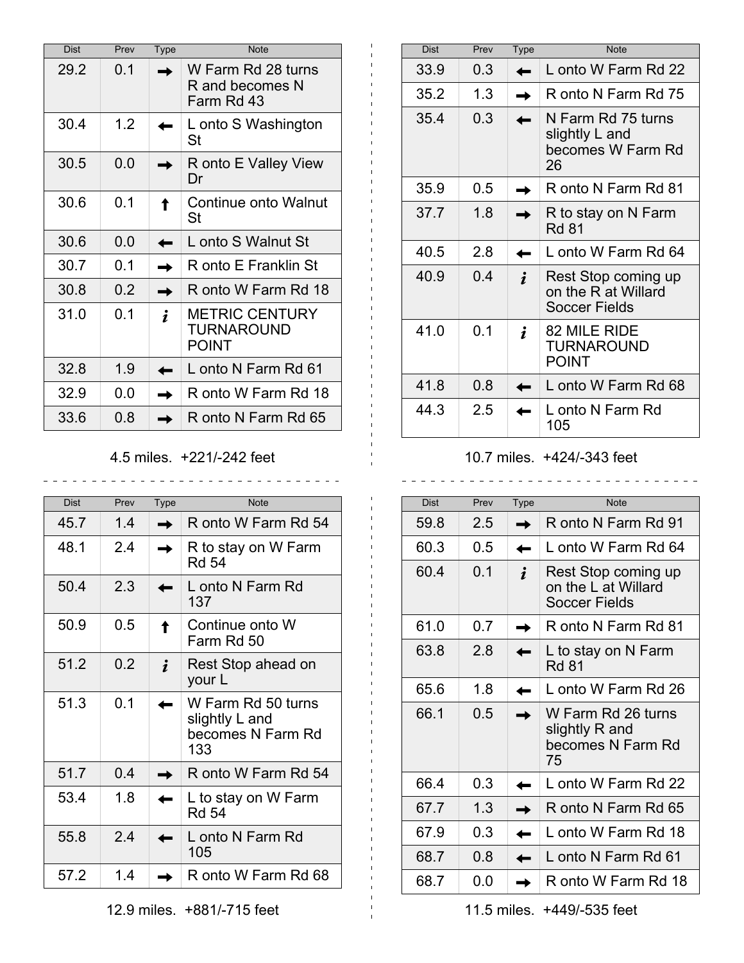| <b>Dist</b> | Prev | <b>Type</b> | <b>Note</b>                                                |
|-------------|------|-------------|------------------------------------------------------------|
| 29.2        | 0.1  |             | W Farm Rd 28 turns<br>R and becomes N<br>Farm Rd 43        |
| 30.4        | 1.2  |             | L onto S Washington<br>St                                  |
| 30.5        | 0.0  |             | R onto E Valley View<br>Dr                                 |
| 30.6        | 0.1  |             | Continue onto Walnut<br>St                                 |
| 30.6        | 0.0  |             | L onto S Walnut St                                         |
| 30.7        | ი 1  |             | R onto E Franklin St                                       |
| 30.8        | 0.2  |             | R onto W Farm Rd 18                                        |
| 31.0        | 0.1  |             | <b>METRIC CENTURY</b><br><b>TURNAROUND</b><br><b>POINT</b> |
| 32.8        | 1.9  |             | L onto N Farm Rd 61                                        |
| 32.9        | 0.0  |             | R onto W Farm Rd 18                                        |
| 33.6        | 0.8  |             | R onto N Farm Rd 65                                        |

4.5 miles. +221/-242 feet

\_\_\_\_\_\_\_\_\_\_\_\_\_\_\_\_\_\_\_\_\_\_\_\_\_\_\_\_\_\_\_\_\_

 $\pm$ 

| <b>Dist</b> | Prev | <b>Type</b> | <b>Note</b>                                                      |
|-------------|------|-------------|------------------------------------------------------------------|
| 45.7        | 14   |             | R onto W Farm Rd 54                                              |
| 48.1        | 2.4  |             | R to stay on W Farm<br><b>Rd 54</b>                              |
| 50.4        | 2.3  |             | L onto N Farm Rd<br>137                                          |
| 50.9        | 0.5  |             | Continue onto W<br>Farm Rd 50                                    |
| 51.2        | 0.2  |             | Rest Stop ahead on<br>your L                                     |
| 51.3        | 0.1  |             | W Farm Rd 50 turns<br>slightly L and<br>becomes N Farm Rd<br>133 |
| 51.7        | 04   |             | R onto W Farm Rd 54                                              |
| 53.4        | 1.8  |             | L to stay on W Farm<br><b>Rd 54</b>                              |
| 55.8        | 2.4  |             | L onto N Farm Rd<br>105                                          |
| 57.2        | 1.4  |             | R onto W Farm Rd 68                                              |

| <b>Dist</b> | Prev | <b>Type</b> | <b>Note</b>                                                     |
|-------------|------|-------------|-----------------------------------------------------------------|
| 33.9        | 0.3  |             | L onto W Farm Rd 22                                             |
| 35.2        | 1 3  |             | R onto N Farm Rd 75                                             |
| 35.4        | 0.3  |             | N Farm Rd 75 turns<br>slightly L and<br>becomes W Farm Rd<br>26 |
| 35.9        | 0.5  |             | R onto N Farm Rd 81                                             |
| 37.7        | 1.8  |             | R to stay on N Farm<br><b>Rd 81</b>                             |
| 40.5        | 2.8  |             | L onto W Farm Rd 64                                             |
| 40.9        | 04   |             | Rest Stop coming up<br>on the R at Willard<br>Soccer Fields     |
| 41.0        | 0.1  |             | 82 MILE RIDE<br><b>TURNAROUND</b><br><b>POINT</b>               |
| 41.8        | 0.8  |             | L onto W Farm Rd 68                                             |
| 44.3        | 2.5  |             | L onto N Farm Rd<br>105                                         |

## 10.7 miles. +424/-343 feet

| <b>Dist</b> | Prev | Type | <b>Note</b>                                                        |
|-------------|------|------|--------------------------------------------------------------------|
| 59.8        | 2.5  |      | R onto N Farm Rd 91                                                |
| 60.3        | 0.5  |      | L onto W Farm Rd 64                                                |
| 60.4        | 0.1  |      | Rest Stop coming up<br>on the L at Willard<br><b>Soccer Fields</b> |
| 61.0        | 0.7  |      | R onto N Farm Rd 81                                                |
| 63.8        | 2.8  |      | L to stay on N Farm<br><b>Rd 81</b>                                |
| 65.6        | 1.8  |      | L onto W Farm Rd 26                                                |
| 66.1        | 0.5  |      | W Farm Rd 26 turns<br>slightly R and<br>becomes N Farm Rd<br>75    |
| 66.4        | 0.3  |      | L onto W Farm Rd 22                                                |
| 67.7        | 1.3  |      | R onto N Farm Rd 65                                                |
| 67.9        | 0.3  |      | L onto W Farm Rd 18                                                |
| 68.7        | 0.8  |      | L onto N Farm Rd 61                                                |
| 68.7        | 0.0  |      | R onto W Farm Rd 18                                                |

11.5 miles. +449/-535 feet